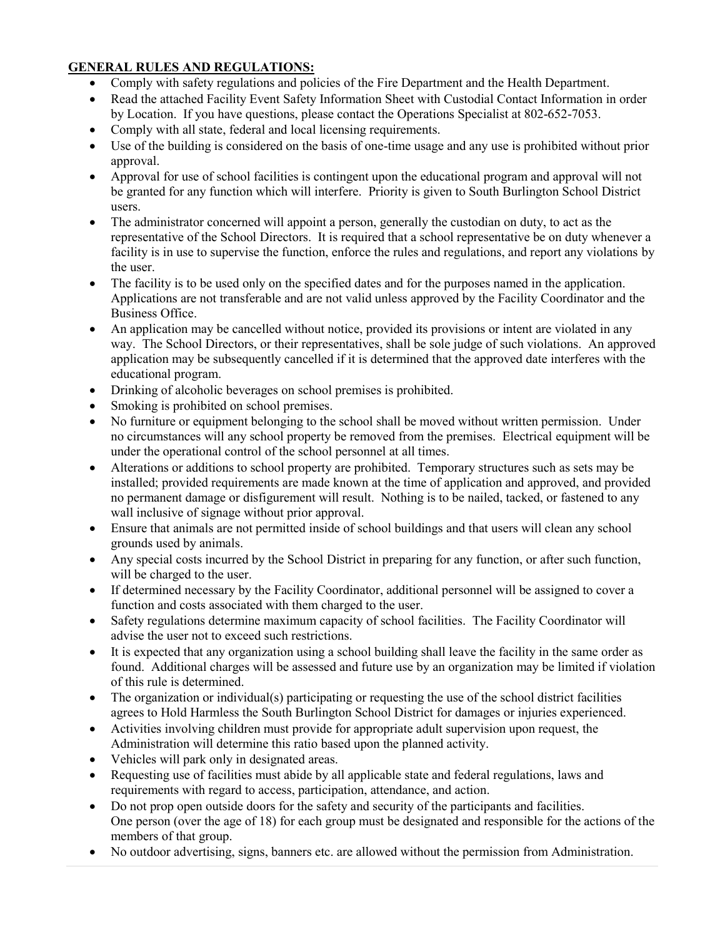## **GENERAL RULES AND REGULATIONS:**

- Comply with safety regulations and policies of the Fire Department and the Health Department.
- Read the attached Facility Event Safety Information Sheet with Custodial Contact Information in order by Location. If you have questions, please contact the Operations Specialist at 802-652-7053.
- Comply with all state, federal and local licensing requirements.
- Use of the building is considered on the basis of one-time usage and any use is prohibited without prior approval.
- Approval for use of school facilities is contingent upon the educational program and approval will not be granted for any function which will interfere. Priority is given to South Burlington School District users.
- The administrator concerned will appoint a person, generally the custodian on duty, to act as the representative of the School Directors. It is required that a school representative be on duty whenever a facility is in use to supervise the function, enforce the rules and regulations, and report any violations by the user.
- The facility is to be used only on the specified dates and for the purposes named in the application. Applications are not transferable and are not valid unless approved by the Facility Coordinator and the Business Office.
- An application may be cancelled without notice, provided its provisions or intent are violated in any way. The School Directors, or their representatives, shall be sole judge of such violations. An approved application may be subsequently cancelled if it is determined that the approved date interferes with the educational program.
- Drinking of alcoholic beverages on school premises is prohibited.
- Smoking is prohibited on school premises.
- No furniture or equipment belonging to the school shall be moved without written permission. Under no circumstances will any school property be removed from the premises. Electrical equipment will be under the operational control of the school personnel at all times.
- Alterations or additions to school property are prohibited. Temporary structures such as sets may be installed; provided requirements are made known at the time of application and approved, and provided no permanent damage or disfigurement will result. Nothing is to be nailed, tacked, or fastened to any wall inclusive of signage without prior approval.
- Ensure that animals are not permitted inside of school buildings and that users will clean any school grounds used by animals.
- Any special costs incurred by the School District in preparing for any function, or after such function, will be charged to the user.
- If determined necessary by the Facility Coordinator, additional personnel will be assigned to cover a function and costs associated with them charged to the user.
- Safety regulations determine maximum capacity of school facilities. The Facility Coordinator will advise the user not to exceed such restrictions.
- It is expected that any organization using a school building shall leave the facility in the same order as found. Additional charges will be assessed and future use by an organization may be limited if violation of this rule is determined.
- The organization or individual(s) participating or requesting the use of the school district facilities agrees to Hold Harmless the South Burlington School District for damages or injuries experienced.
- Activities involving children must provide for appropriate adult supervision upon request, the Administration will determine this ratio based upon the planned activity.
- Vehicles will park only in designated areas.
- Requesting use of facilities must abide by all applicable state and federal regulations, laws and requirements with regard to access, participation, attendance, and action.
- Do not prop open outside doors for the safety and security of the participants and facilities. One person (over the age of 18) for each group must be designated and responsible for the actions of the members of that group.
- No outdoor advertising, signs, banners etc. are allowed without the permission from Administration.